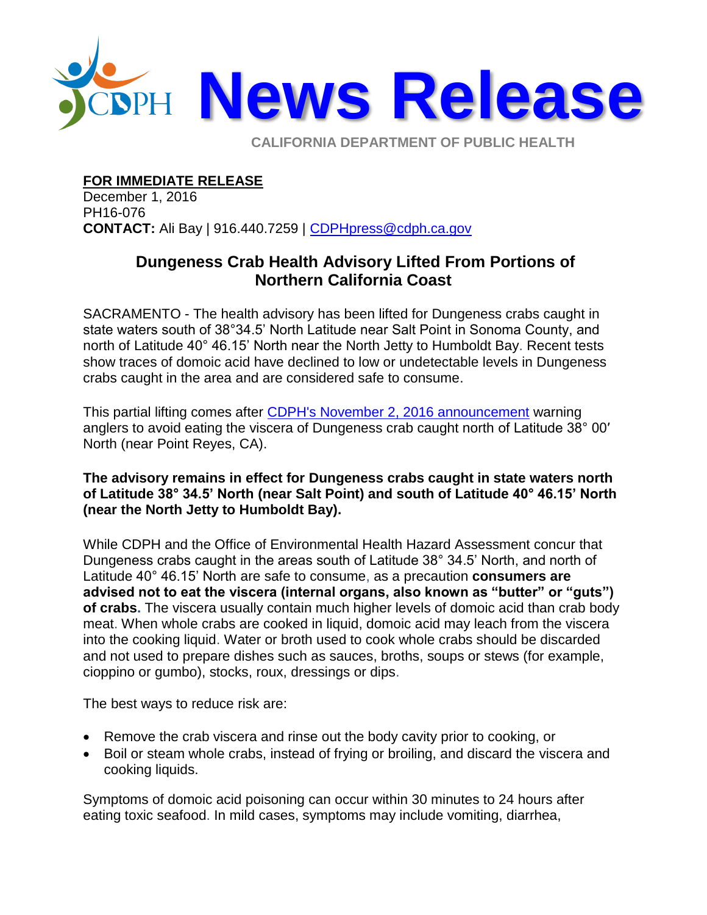

**CALIFORNIA DEPARTMENT OF PUBLIC HEALTH** 

## **FOR IMMEDIATE RELEASE**

December 1, 2016 PH16-076 **CONTACT:** Ali Bay | 916.440.7259 | [CDPHpress@cdph.ca.gov](mailto:CDPHpress@cdph.ca.gov)

## **Dungeness Crab Health Advisory Lifted From Portions of Northern California Coast**

SACRAMENTO - The health advisory has been lifted for Dungeness crabs caught in state waters south of 38°34.5' North Latitude near Salt Point in Sonoma County, and north of Latitude 40° 46.15' North near the North Jetty to Humboldt Bay. Recent tests show traces of domoic acid have declined to low or undetectable levels in Dungeness crabs caught in the area and are considered safe to consume.

This partial lifting comes after [CDPH's November 2, 2016 announcement](http://www.cdph.ca.gov/Pages/NR16-068.aspx) warning anglers to avoid eating the viscera of Dungeness crab caught north of Latitude 38° 00′ North (near Point Reyes, CA).

## **The advisory remains in effect for Dungeness crabs caught in state waters north of Latitude 38° 34.5' North (near Salt Point) and south of Latitude 40° 46.15' North (near the North Jetty to Humboldt Bay).**

While CDPH and the Office of Environmental Health Hazard Assessment concur that Dungeness crabs caught in the areas south of Latitude 38° 34.5' North, and north of Latitude 40° 46.15' North are safe to consume, as a precaution **consumers are advised not to eat the viscera (internal organs, also known as "butter" or "guts") of crabs.** The viscera usually contain much higher levels of domoic acid than crab body meat. When whole crabs are cooked in liquid, domoic acid may leach from the viscera into the cooking liquid. Water or broth used to cook whole crabs should be discarded and not used to prepare dishes such as sauces, broths, soups or stews (for example, cioppino or gumbo), stocks, roux, dressings or dips.

The best ways to reduce risk are:

- Remove the crab viscera and rinse out the body cavity prior to cooking, or
- Boil or steam whole crabs, instead of frying or broiling, and discard the viscera and cooking liquids.

Symptoms of domoic acid poisoning can occur within 30 minutes to 24 hours after eating toxic seafood. In mild cases, symptoms may include vomiting, diarrhea,